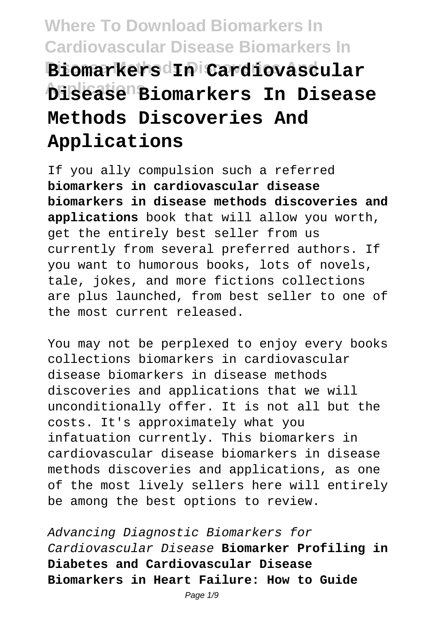# **Where To Download Biomarkers In Cardiovascular Disease Biomarkers In Disease Methods Discoveries And Biomarkers In Cardiovascular Applications Disease Biomarkers In Disease Methods Discoveries And Applications**

If you ally compulsion such a referred **biomarkers in cardiovascular disease biomarkers in disease methods discoveries and applications** book that will allow you worth, get the entirely best seller from us currently from several preferred authors. If you want to humorous books, lots of novels, tale, jokes, and more fictions collections are plus launched, from best seller to one of the most current released.

You may not be perplexed to enjoy every books collections biomarkers in cardiovascular disease biomarkers in disease methods discoveries and applications that we will unconditionally offer. It is not all but the costs. It's approximately what you infatuation currently. This biomarkers in cardiovascular disease biomarkers in disease methods discoveries and applications, as one of the most lively sellers here will entirely be among the best options to review.

Advancing Diagnostic Biomarkers for Cardiovascular Disease **Biomarker Profiling in Diabetes and Cardiovascular Disease Biomarkers in Heart Failure: How to Guide**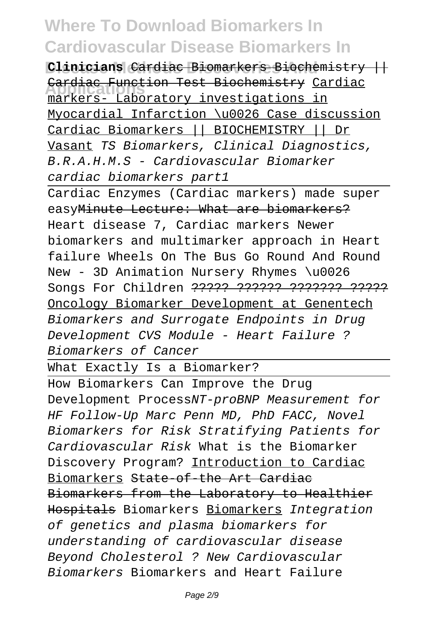**Clinicians** Cardiac Biomarkers Biochemistry || **Applications** markers- Laboratory investigations in Cardiac Function Test Biochemistry Cardiac Myocardial Infarction \u0026 Case discussion Cardiac Biomarkers || BIOCHEMISTRY || Dr Vasant TS Biomarkers, Clinical Diagnostics, B.R.A.H.M.S - Cardiovascular Biomarker cardiac biomarkers part1

Cardiac Enzymes (Cardiac markers) made super easyMinute Lecture: What are biomarkers? Heart disease 7, Cardiac markers Newer biomarkers and multimarker approach in Heart failure Wheels On The Bus Go Round And Round New - 3D Animation Nursery Rhymes \u0026 Songs For Children ????? ?????? ??????? ?????? Oncology Biomarker Development at Genentech Biomarkers and Surrogate Endpoints in Drug Development CVS Module - Heart Failure ? Biomarkers of Cancer

What Exactly Is a Biomarker?

How Biomarkers Can Improve the Drug Development ProcessNT-proBNP Measurement for HF Follow-Up Marc Penn MD, PhD FACC, Novel Biomarkers for Risk Stratifying Patients for Cardiovascular Risk What is the Biomarker Discovery Program? Introduction to Cardiac Biomarkers State-of-the Art Cardiac Biomarkers from the Laboratory to Healthier Hospitals Biomarkers Biomarkers Integration of genetics and plasma biomarkers for understanding of cardiovascular disease Beyond Cholesterol ? New Cardiovascular Biomarkers Biomarkers and Heart Failure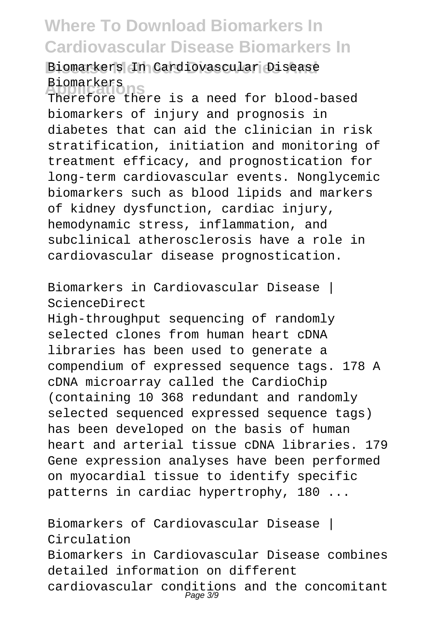Biomarkers In Cardiovascular Disease Biomarkers

**Applications** Therefore there is a need for blood-based biomarkers of injury and prognosis in diabetes that can aid the clinician in risk stratification, initiation and monitoring of treatment efficacy, and prognostication for long-term cardiovascular events. Nonglycemic biomarkers such as blood lipids and markers of kidney dysfunction, cardiac injury, hemodynamic stress, inflammation, and subclinical atherosclerosis have a role in cardiovascular disease prognostication.

Biomarkers in Cardiovascular Disease | ScienceDirect

High-throughput sequencing of randomly selected clones from human heart cDNA libraries has been used to generate a compendium of expressed sequence tags. 178 A cDNA microarray called the CardioChip (containing 10 368 redundant and randomly selected sequenced expressed sequence tags) has been developed on the basis of human heart and arterial tissue cDNA libraries. 179 Gene expression analyses have been performed on myocardial tissue to identify specific patterns in cardiac hypertrophy, 180 ...

Biomarkers of Cardiovascular Disease | Circulation Biomarkers in Cardiovascular Disease combines detailed information on different cardiovascular conditions and the concomitant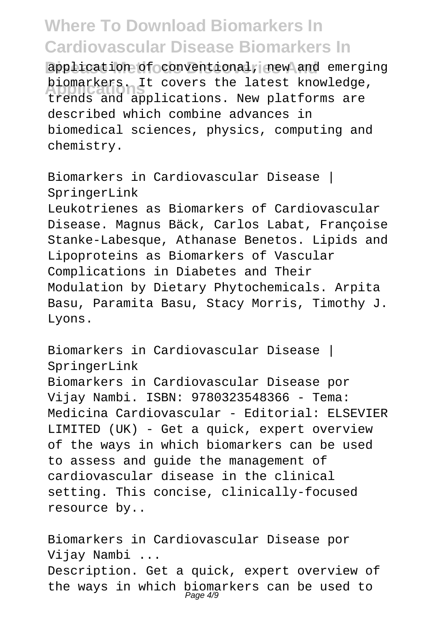application of conventional, new and emerging biomarkers. It covers the latest knowledge, trends and applications. New platforms are described which combine advances in biomedical sciences, physics, computing and chemistry.

Biomarkers in Cardiovascular Disease | SpringerLink Leukotrienes as Biomarkers of Cardiovascular Disease. Magnus Bäck, Carlos Labat, Françoise Stanke-Labesque, Athanase Benetos. Lipids and Lipoproteins as Biomarkers of Vascular Complications in Diabetes and Their Modulation by Dietary Phytochemicals. Arpita Basu, Paramita Basu, Stacy Morris, Timothy J. Lyons.

Biomarkers in Cardiovascular Disease | SpringerLink Biomarkers in Cardiovascular Disease por Vijay Nambi. ISBN: 9780323548366 - Tema: Medicina Cardiovascular - Editorial: ELSEVIER LIMITED (UK) - Get a quick, expert overview of the ways in which biomarkers can be used to assess and guide the management of cardiovascular disease in the clinical setting. This concise, clinically-focused resource by..

Biomarkers in Cardiovascular Disease por Vijay Nambi ... Description. Get a quick, expert overview of the ways in which biomarkers can be used to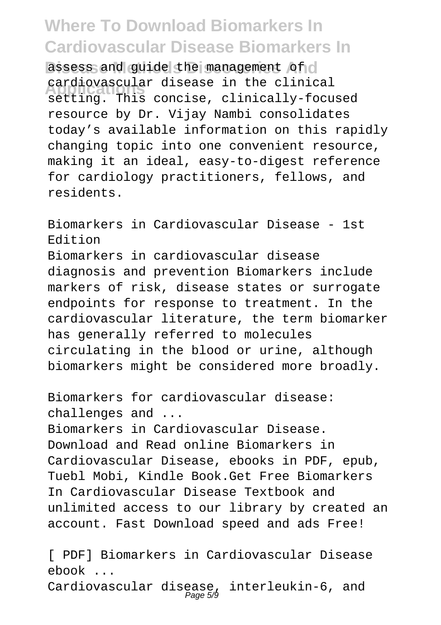assess and guide the management of d cardiovascular disease in the clinical<br>setting. This concise, clinically-focused cardiovascular disease in the clinical resource by Dr. Vijay Nambi consolidates today's available information on this rapidly changing topic into one convenient resource, making it an ideal, easy-to-digest reference for cardiology practitioners, fellows, and residents.

Biomarkers in Cardiovascular Disease - 1st Edition Biomarkers in cardiovascular disease diagnosis and prevention Biomarkers include markers of risk, disease states or surrogate endpoints for response to treatment. In the cardiovascular literature, the term biomarker has generally referred to molecules circulating in the blood or urine, although biomarkers might be considered more broadly.

Biomarkers for cardiovascular disease: challenges and ... Biomarkers in Cardiovascular Disease. Download and Read online Biomarkers in Cardiovascular Disease, ebooks in PDF, epub, Tuebl Mobi, Kindle Book.Get Free Biomarkers In Cardiovascular Disease Textbook and unlimited access to our library by created an account. Fast Download speed and ads Free!

[ PDF] Biomarkers in Cardiovascular Disease  $eh\nonumber$ ohok ... Cardiovascular disease, interleukin-6, and<br>Page 59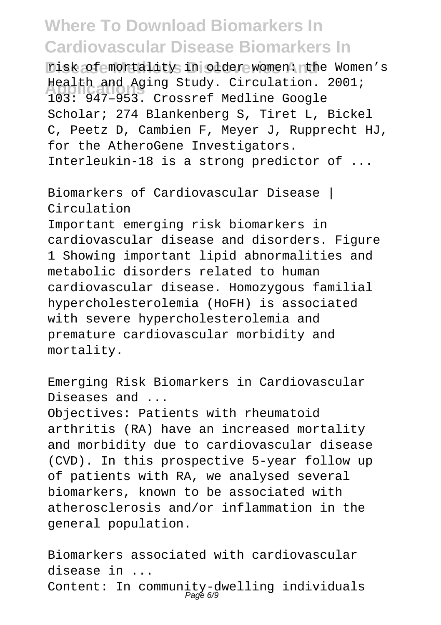risk of mortality in older women: the Women's **Applications** 103: 947–953. Crossref Medline Google Health and Aging Study. Circulation. 2001; Scholar; 274 Blankenberg S, Tiret L, Bickel C, Peetz D, Cambien F, Meyer J, Rupprecht HJ, for the AtheroGene Investigators. Interleukin-18 is a strong predictor of ...

Biomarkers of Cardiovascular Disease | Circulation

Important emerging risk biomarkers in cardiovascular disease and disorders. Figure 1 Showing important lipid abnormalities and metabolic disorders related to human cardiovascular disease. Homozygous familial hypercholesterolemia (HoFH) is associated with severe hypercholesterolemia and premature cardiovascular morbidity and mortality.

Emerging Risk Biomarkers in Cardiovascular Diseases and ...

Objectives: Patients with rheumatoid arthritis (RA) have an increased mortality and morbidity due to cardiovascular disease (CVD). In this prospective 5-year follow up of patients with RA, we analysed several biomarkers, known to be associated with atherosclerosis and/or inflammation in the general population.

Biomarkers associated with cardiovascular disease in ... Content: In community-dwelling individuals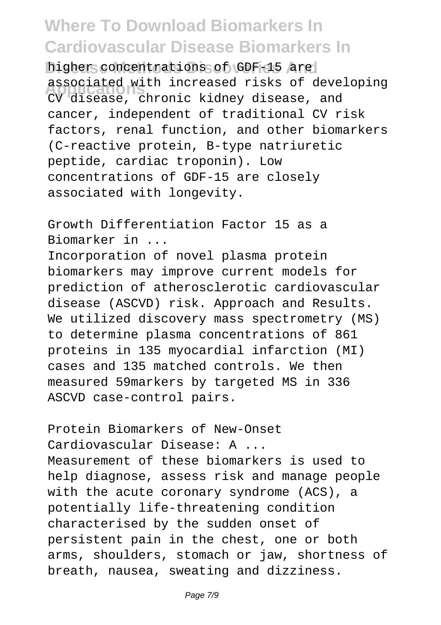higher concentrations of GDF-15 are **Applications** CV disease, chronic kidney disease, and associated with increased risks of developing cancer, independent of traditional CV risk factors, renal function, and other biomarkers (C-reactive protein, B-type natriuretic peptide, cardiac troponin). Low concentrations of GDF-15 are closely associated with longevity.

Growth Differentiation Factor 15 as a Biomarker in ...

Incorporation of novel plasma protein biomarkers may improve current models for prediction of atherosclerotic cardiovascular disease (ASCVD) risk. Approach and Results. We utilized discovery mass spectrometry (MS) to determine plasma concentrations of 861 proteins in 135 myocardial infarction (MI) cases and 135 matched controls. We then measured 59markers by targeted MS in 336 ASCVD case-control pairs.

Protein Biomarkers of New-Onset Cardiovascular Disease: A ... Measurement of these biomarkers is used to help diagnose, assess risk and manage people with the acute coronary syndrome (ACS), a potentially life-threatening condition characterised by the sudden onset of persistent pain in the chest, one or both arms, shoulders, stomach or jaw, shortness of breath, nausea, sweating and dizziness.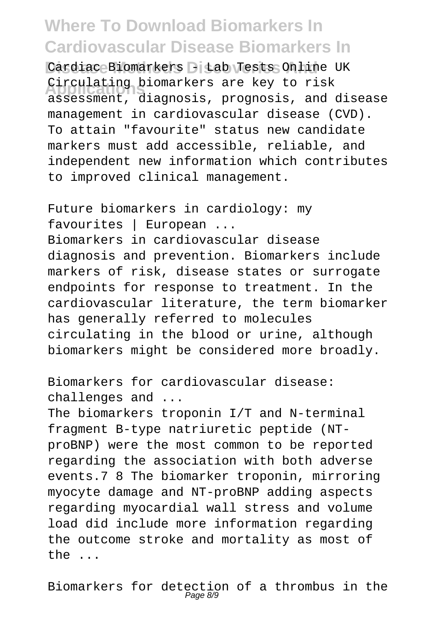Cardiac Biomarkers - Lab Tests Online UK Circulating biomarkers are key to risk<br>assessment, diagnosis, prognosis, and disease Circulating biomarkers are key to risk management in cardiovascular disease (CVD). To attain "favourite" status new candidate markers must add accessible, reliable, and independent new information which contributes to improved clinical management.

Future biomarkers in cardiology: my favourites | European ... Biomarkers in cardiovascular disease diagnosis and prevention. Biomarkers include markers of risk, disease states or surrogate endpoints for response to treatment. In the cardiovascular literature, the term biomarker has generally referred to molecules circulating in the blood or urine, although biomarkers might be considered more broadly.

Biomarkers for cardiovascular disease: challenges and ...

The biomarkers troponin I/T and N-terminal fragment B-type natriuretic peptide (NTproBNP) were the most common to be reported regarding the association with both adverse events.7 8 The biomarker troponin, mirroring myocyte damage and NT-proBNP adding aspects regarding myocardial wall stress and volume load did include more information regarding the outcome stroke and mortality as most of the ...

Biomarkers for detection of a thrombus in the